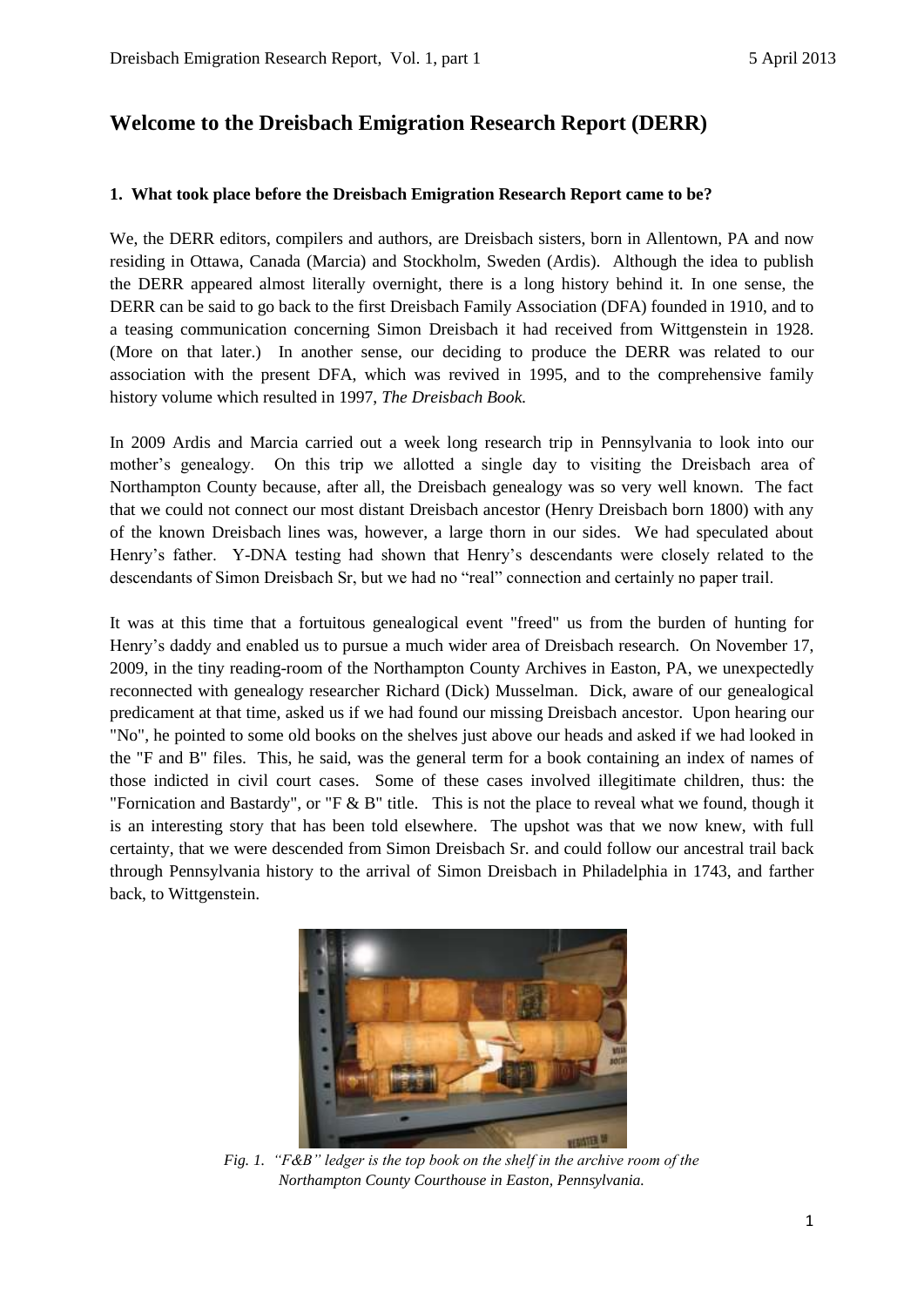# **Welcome to the Dreisbach Emigration Research Report (DERR)**

## **1. What took place before the Dreisbach Emigration Research Report came to be?**

We, the DERR editors, compilers and authors, are Dreisbach sisters, born in Allentown, PA and now residing in Ottawa, Canada (Marcia) and Stockholm, Sweden (Ardis). Although the idea to publish the DERR appeared almost literally overnight, there is a long history behind it. In one sense, the DERR can be said to go back to the first Dreisbach Family Association (DFA) founded in 1910, and to a teasing communication concerning Simon Dreisbach it had received from Wittgenstein in 1928. (More on that later.) In another sense, our deciding to produce the DERR was related to our association with the present DFA, which was revived in 1995, and to the comprehensive family history volume which resulted in 1997, *The Dreisbach Book.*

In 2009 Ardis and Marcia carried out a week long research trip in Pennsylvania to look into our mother's genealogy. On this trip we allotted a single day to visiting the Dreisbach area of Northampton County because, after all, the Dreisbach genealogy was so very well known. The fact that we could not connect our most distant Dreisbach ancestor (Henry Dreisbach born 1800) with any of the known Dreisbach lines was, however, a large thorn in our sides. We had speculated about Henry's father. Y-DNA testing had shown that Henry's descendants were closely related to the descendants of Simon Dreisbach Sr, but we had no "real" connection and certainly no paper trail.

It was at this time that a fortuitous genealogical event "freed" us from the burden of hunting for Henry's daddy and enabled us to pursue a much wider area of Dreisbach research. On November 17, 2009, in the tiny reading-room of the Northampton County Archives in Easton, PA, we unexpectedly reconnected with genealogy researcher Richard (Dick) Musselman. Dick, aware of our genealogical predicament at that time, asked us if we had found our missing Dreisbach ancestor. Upon hearing our "No", he pointed to some old books on the shelves just above our heads and asked if we had looked in the "F and B" files. This, he said, was the general term for a book containing an index of names of those indicted in civil court cases. Some of these cases involved illegitimate children, thus: the "Fornication and Bastardy", or "F & B" title. This is not the place to reveal what we found, though it is an interesting story that has been told elsewhere. The upshot was that we now knew, with full certainty, that we were descended from Simon Dreisbach Sr. and could follow our ancestral trail back through Pennsylvania history to the arrival of Simon Dreisbach in Philadelphia in 1743, and farther back, to Wittgenstein.



*Fig. 1. "F&B" ledger is the top book on the shelf in the archive room of the Northampton County Courthouse in Easton, Pennsylvania.*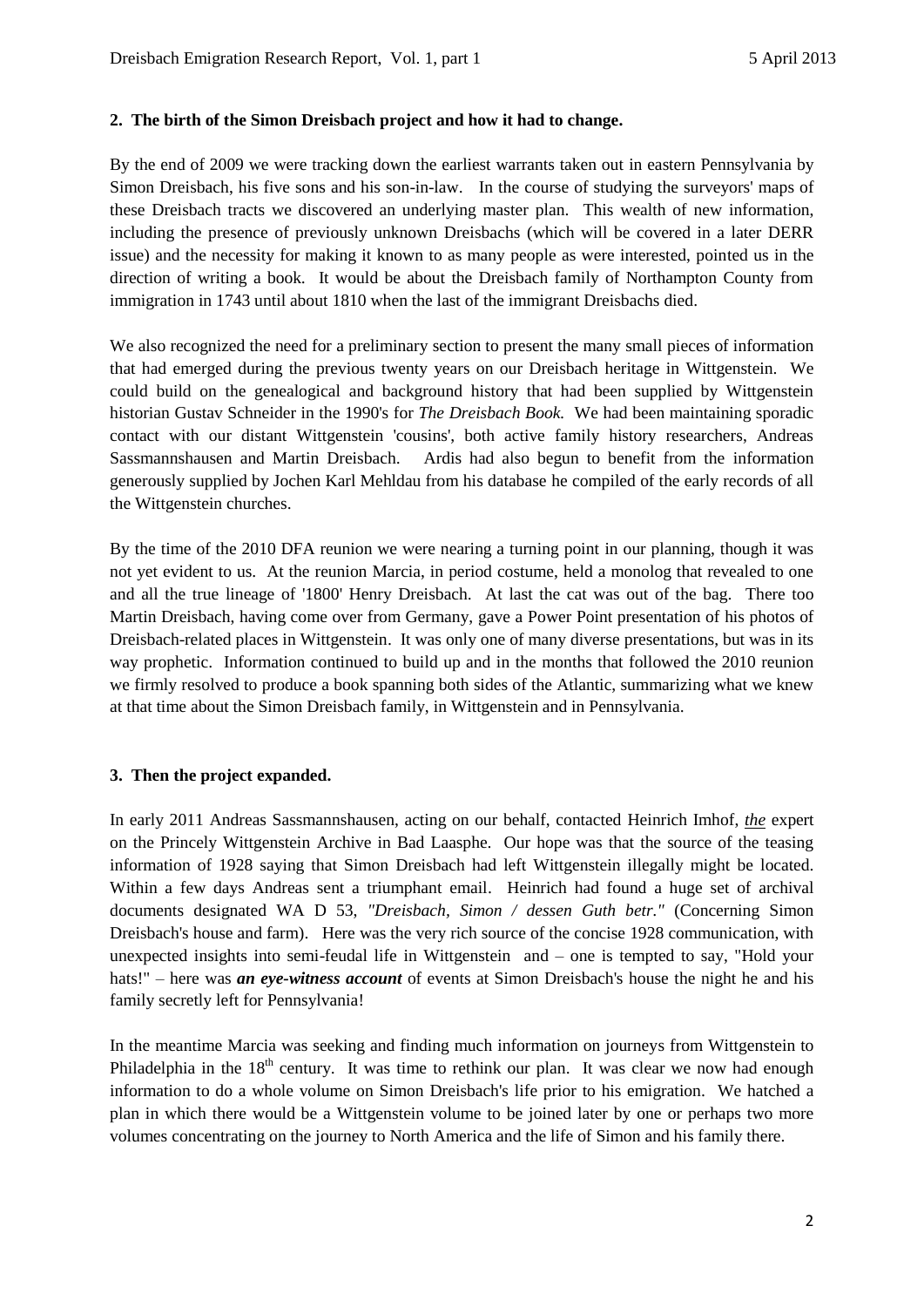#### **2. The birth of the Simon Dreisbach project and how it had to change.**

By the end of 2009 we were tracking down the earliest warrants taken out in eastern Pennsylvania by Simon Dreisbach, his five sons and his son-in-law. In the course of studying the surveyors' maps of these Dreisbach tracts we discovered an underlying master plan. This wealth of new information, including the presence of previously unknown Dreisbachs (which will be covered in a later DERR issue) and the necessity for making it known to as many people as were interested, pointed us in the direction of writing a book. It would be about the Dreisbach family of Northampton County from immigration in 1743 until about 1810 when the last of the immigrant Dreisbachs died.

We also recognized the need for a preliminary section to present the many small pieces of information that had emerged during the previous twenty years on our Dreisbach heritage in Wittgenstein. We could build on the genealogical and background history that had been supplied by Wittgenstein historian Gustav Schneider in the 1990's for *The Dreisbach Book.* We had been maintaining sporadic contact with our distant Wittgenstein 'cousins', both active family history researchers, Andreas Sassmannshausen and Martin Dreisbach. Ardis had also begun to benefit from the information generously supplied by Jochen Karl Mehldau from his database he compiled of the early records of all the Wittgenstein churches.

By the time of the 2010 DFA reunion we were nearing a turning point in our planning, though it was not yet evident to us. At the reunion Marcia, in period costume, held a monolog that revealed to one and all the true lineage of '1800' Henry Dreisbach. At last the cat was out of the bag. There too Martin Dreisbach, having come over from Germany, gave a Power Point presentation of his photos of Dreisbach-related places in Wittgenstein. It was only one of many diverse presentations, but was in its way prophetic. Information continued to build up and in the months that followed the 2010 reunion we firmly resolved to produce a book spanning both sides of the Atlantic, summarizing what we knew at that time about the Simon Dreisbach family, in Wittgenstein and in Pennsylvania.

## **3. Then the project expanded.**

In early 2011 Andreas Sassmannshausen, acting on our behalf, contacted Heinrich Imhof, *the* expert on the Princely Wittgenstein Archive in Bad Laasphe. Our hope was that the source of the teasing information of 1928 saying that Simon Dreisbach had left Wittgenstein illegally might be located. Within a few days Andreas sent a triumphant email. Heinrich had found a huge set of archival documents designated WA D 53, *"Dreisbach, Simon / dessen Guth betr."* (Concerning Simon Dreisbach's house and farm). Here was the very rich source of the concise 1928 communication, with unexpected insights into semi-feudal life in Wittgenstein and – one is tempted to say, "Hold your hats!" – here was *an eye-witness account* of events at Simon Dreisbach's house the night he and his family secretly left for Pennsylvania!

In the meantime Marcia was seeking and finding much information on journeys from Wittgenstein to Philadelphia in the  $18<sup>th</sup>$  century. It was time to rethink our plan. It was clear we now had enough information to do a whole volume on Simon Dreisbach's life prior to his emigration. We hatched a plan in which there would be a Wittgenstein volume to be joined later by one or perhaps two more volumes concentrating on the journey to North America and the life of Simon and his family there.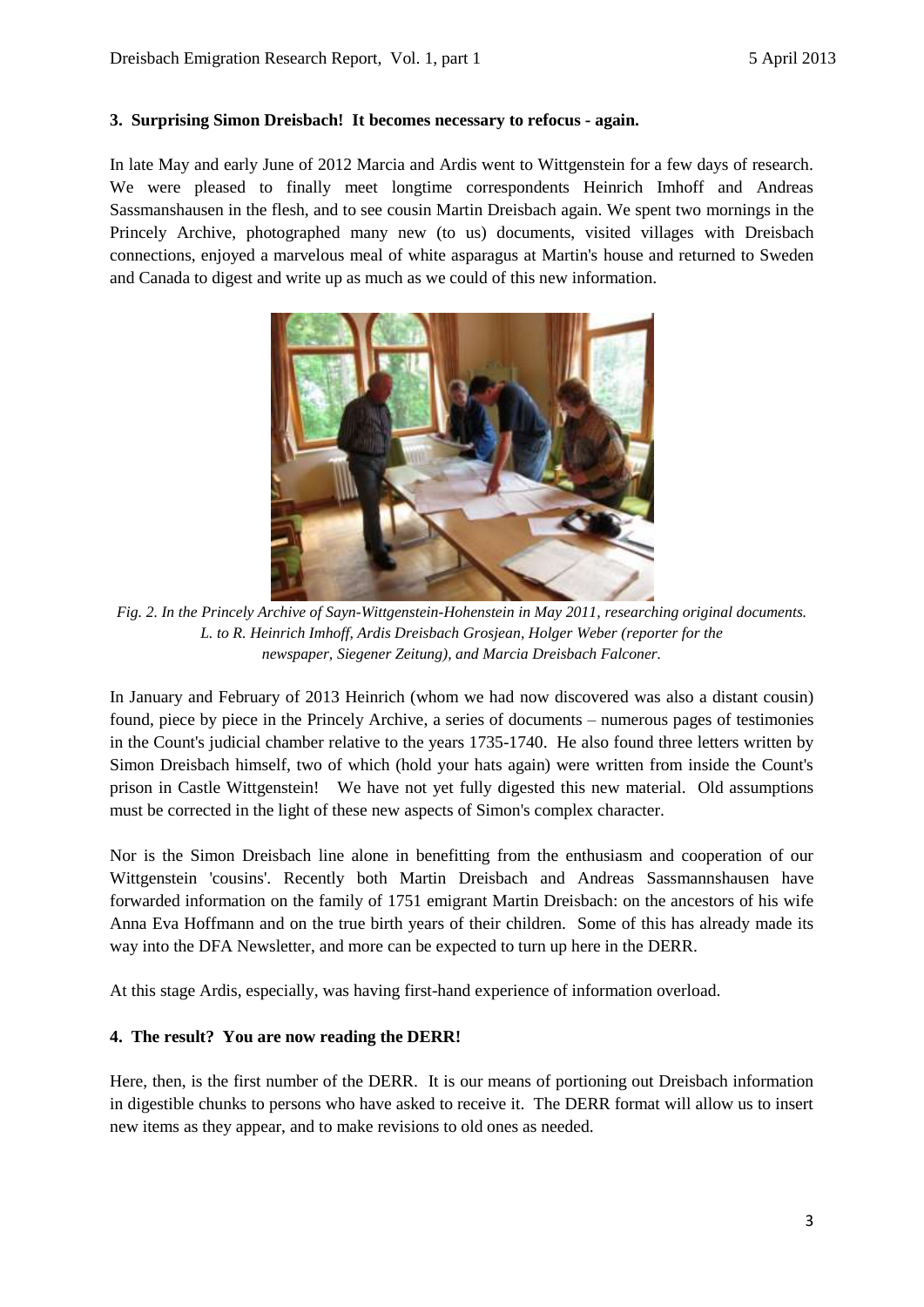#### **3. Surprising Simon Dreisbach! It becomes necessary to refocus - again.**

In late May and early June of 2012 Marcia and Ardis went to Wittgenstein for a few days of research. We were pleased to finally meet longtime correspondents Heinrich Imhoff and Andreas Sassmanshausen in the flesh, and to see cousin Martin Dreisbach again. We spent two mornings in the Princely Archive, photographed many new (to us) documents, visited villages with Dreisbach connections, enjoyed a marvelous meal of white asparagus at Martin's house and returned to Sweden and Canada to digest and write up as much as we could of this new information.



*Fig. 2. In the Princely Archive of Sayn-Wittgenstein-Hohenstein in May 2011, researching original documents. L. to R. Heinrich Imhoff, Ardis Dreisbach Grosjean, Holger Weber (reporter for the newspaper, Siegener Zeitung), and Marcia Dreisbach Falconer.* 

In January and February of 2013 Heinrich (whom we had now discovered was also a distant cousin) found, piece by piece in the Princely Archive, a series of documents – numerous pages of testimonies in the Count's judicial chamber relative to the years 1735-1740. He also found three letters written by Simon Dreisbach himself, two of which (hold your hats again) were written from inside the Count's prison in Castle Wittgenstein! We have not yet fully digested this new material. Old assumptions must be corrected in the light of these new aspects of Simon's complex character.

Nor is the Simon Dreisbach line alone in benefitting from the enthusiasm and cooperation of our Wittgenstein 'cousins'. Recently both Martin Dreisbach and Andreas Sassmannshausen have forwarded information on the family of 1751 emigrant Martin Dreisbach: on the ancestors of his wife Anna Eva Hoffmann and on the true birth years of their children. Some of this has already made its way into the DFA Newsletter, and more can be expected to turn up here in the DERR.

At this stage Ardis, especially, was having first-hand experience of information overload.

## **4. The result? You are now reading the DERR!**

Here, then, is the first number of the DERR. It is our means of portioning out Dreisbach information in digestible chunks to persons who have asked to receive it. The DERR format will allow us to insert new items as they appear, and to make revisions to old ones as needed.